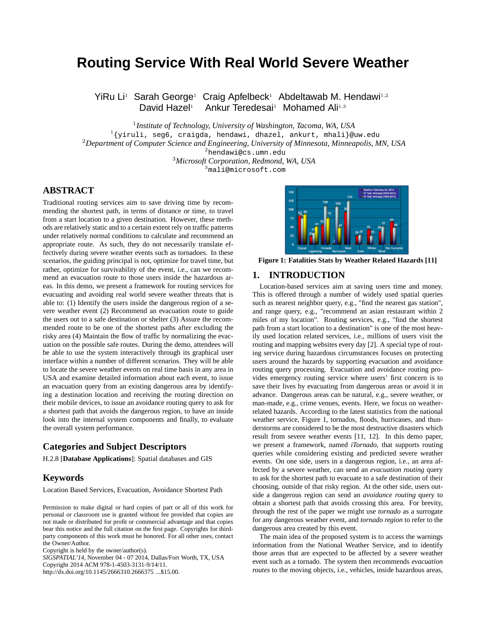# **Routing Service With Real World Severe Weather**

YiRu Li<sup>1</sup> Sarah George<sup>1</sup> Craig Apfelbeck<sup>1</sup> Abdeltawab M. Hendawi<sup>1,2</sup> David Hazel<sup>1</sup> Ankur Teredesai<sup>1</sup> Mohamed Ali<sup>1,3</sup>

1 *Institute of Technology, University of Washington, Tacoma, WA, USA*  $1\{\text{yiruli}, \text{seg6}, \text{craigda}, \text{hendawi}, \text{dhazel}, \text{ankurt}, \text{mhali}\}$ @uw.edu <sup>2</sup>*Department of Computer Science and Engineering, University of Minnesota, Minneapolis, MN, USA*  $^{2}$ hendawi@cs.umn.edu <sup>3</sup>*Microsoft Corporation, Redmond, WA, USA*

 $^3$ mali@microsoft.com

# **ABSTRACT**

Traditional routing services aim to save driving time by recommending the shortest path, in terms of distance or time, to travel from a start location to a given destination. However, these methods are relatively static and to a certain extent rely on traffic patterns under relatively normal conditions to calculate and recommend an appropriate route. As such, they do not necessarily translate effectively during severe weather events such as tornadoes. In these scenarios, the guiding principal is not, optimize for travel time, but rather, optimize for survivability of the event, i.e., can we recommend an evacuation route to those users inside the hazardous areas. In this demo, we present a framework for routing services for evacuating and avoiding real world severe weather threats that is able to: (1) Identify the users inside the dangerous region of a severe weather event (2) Recommend an evacuation route to guide the users out to a safe destination or shelter (3) Assure the recommended route to be one of the shortest paths after excluding the risky area (4) Maintain the flow of traffic by normalizing the evacuation on the possible safe routes. During the demo, attendees will be able to use the system interactively through its graphical user interface within a number of different scenarios. They will be able to locate the severe weather events on real time basis in any area in USA and examine detailed information about each event, to issue an evacuation query from an existing dangerous area by identifying a destination location and receiving the routing direction on their mobile devices, to issue an avoidance routing query to ask for a shortest path that avoids the dangerous region, to have an inside look into the internal system components and finally, to evaluate the overall system performance.

# **Categories and Subject Descriptors**

H.2.8 [**Database Applications**]: Spatial databases and GIS

# **Keywords**

Location Based Services, Evacuation, Avoidance Shortest Path

Permission to make digital or hard copies of part or all of this work for personal or classroom use is granted without fee provided that copies are not made or distributed for profit or commercial advantage and that copies bear this notice and the full citation on the first page. Copyrights for thirdparty components of this work must be honored. For all other uses, contact the Owner/Author.

Copyright is held by the owner/author(s).

*SIGSPATIAL'14,* November 04 - 07 2014, Dallas/Fort Worth, TX, USA Copyright 2014 ACM 978-1-4503-3131-9/14/11. http://dx.doi.org/10.1145/2666310.2666375 ...\$15.00.



**Figure 1: Fatalities Stats by Weather Related Hazards [11]**

#### **1. INTRODUCTION**

Location-based services aim at saving users time and money. This is offered through a number of widely used spatial queries such as nearest neighbor query, e.g., "find the nearest gas station", and range query, e.g., "recommend an asian restaurant within 2 miles of my location". Routing services, e.g., "find the shortest path from a start location to a destination" is one of the most heavily used location related services, i.e., millions of users visit the routing and mapping websites every day [2]. A special type of routing service during hazardous circumstances focuses on protecting users around the hazards by supporting evacuation and avoidance routing query processing. Evacuation and avoidance routing provides emergency routing service where users' first concern is to save their lives by evacuating from dangerous areas or avoid it in advance. Dangerous areas can be natural, e.g., severe weather, or man-made, e.g., crime venues, events. Here, we focus on weatherrelated hazards. According to the latest statistics from the national weather service, Figure 1, tornados, floods, hurricanes, and thunderstorms are considered to be the most destructive disasters which result from severe weather events [11, 12]. In this demo paper, we present a framework, named *iTornado*, that supports routing queries while considering existing and predicted severe weather events. On one side, users in a dangerous region, i.e., an area affected by a severe weather, can send an *evacuation routing* query to ask for the shortest path to evacuate to a safe destination of their choosing, outside of that risky region. At the other side, users outside a dangerous region can send an *avoidance routing* query to obtain a shortest path that avoids crossing this area. For brevity, through the rest of the paper we might use *tornado* as a surrogate for any dangerous weather event, and *tornado region* to refer to the dangerous area created by this event.

The main idea of the proposed system is to access the warnings information from the National Weather Service, and to identify those areas that are expected to be affected by a severe weather event such as a tornado. The system then recommends *evacuation routes* to the moving objects, i.e., vehicles, inside hazardous areas,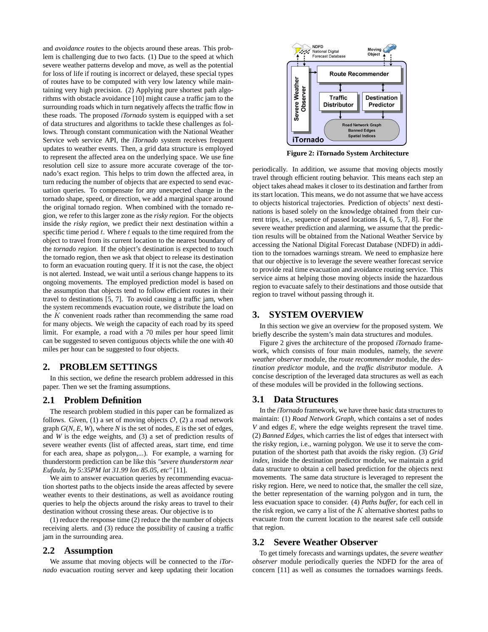and *avoidance routes* to the objects around these areas. This problem is challenging due to two facts. (1) Due to the speed at which severe weather patterns develop and move, as well as the potential for loss of life if routing is incorrect or delayed, these special types of routes have to be computed with very low latency while maintaining very high precision. (2) Applying pure shortest path algorithms with obstacle avoidance [10] might cause a traffic jam to the surrounding roads which in turn negatively affects the traffic flow in these roads. The proposed *iTornado* system is equipped with a set of data structures and algorithms to tackle these challenges as follows. Through constant communication with the National Weather Service web service API, the *iTornado* system receives frequent updates to weather events. Then, a grid data structure is employed to represent the affected area on the underlying space. We use fine resolution cell size to assure more accurate coverage of the tornado's exact region. This helps to trim down the affected area, in turn reducing the number of objects that are expected to send evacuation queries. To compensate for any unexpected change in the tornado shape, speed, or direction, we add a marginal space around the original tornado region. When combined with the tornado region, we refer to this larger zone as the *risky region*. For the objects inside the *risky region*, we predict their next destination within a specific time period  $t$ . Where  $t$  equals to the time required from the object to travel from its current location to the nearest boundary of the *tornado region*. If the object's destination is expected to touch the tornado region, then we ask that object to release its destination to form an evacuation routing query. If it is not the case, the object is not alerted. Instead, we wait until a serious change happens to its ongoing movements. The employed prediction model is based on the assumption that objects tend to follow efficient routes in their travel to destinations [5, 7]. To avoid causing a traffic jam, when the system recommends evacuation route, we distribute the load on the  $K$  convenient roads rather than recommending the same road for many objects. We weigh the capacity of each road by its speed limit. For example, a road with a 70 miles per hour speed limit can be suggested to seven contiguous objects while the one with 40 miles per hour can be suggested to four objects.

#### **2. PROBLEM SETTINGS**

In this section, we define the research problem addressed in this paper. Then we set the framing assumptions.

#### **2.1 Problem Definition**

The research problem studied in this paper can be formalized as follows. Given,  $(1)$  a set of moving objects  $O$ ,  $(2)$  a road network graph *G*(*N, E, W*), where *N* is the set of nodes, *E* is the set of edges, and *W* is the edge weights, and (3) a set of prediction results of severe weather events (list of affected areas, start time, end time for each area, shape as polygon,...). For example, a warning for thunderstorm prediction can be like this *"severe thunderstorm near Eufaula, by 5:35PM lat 31.99 lon 85.05, etc"* [11].

We aim to answer evacuation queries by recommending evacuation shortest paths to the objects inside the areas affected by severe weather events to their destinations, as well as avoidance routing queries to help the objects around the risky areas to travel to their destination without crossing these areas. Our objective is to

(1) reduce the response time (2) reduce the the number of objects receiving alerts. and (3) reduce the possibility of causing a traffic jam in the surrounding area.

#### **2.2 Assumption**

We assume that moving objects will be connected to the *iTornado* evacuation routing server and keep updating their location



**Figure 2: iTornado System Architecture**

periodically. In addition, we assume that moving objects mostly travel through efficient routing behavior. This means each step an object takes ahead makes it closer to its destination and farther from its start location. This means, we do not assume that we have access to objects historical trajectories. Prediction of objects' next destinations is based solely on the knowledge obtained from their current trips, i.e., sequence of passed locations [4, 6, 5, 7, 8]. For the severe weather prediction and alarming, we assume that the prediction results will be obtained from the National Weather Service by accessing the National Digital Forecast Database (NDFD) in addition to the tornadoes warnings stream. We need to emphasize here that our objective is to leverage the severe weather forecast service to provide real time evacuation and avoidance routing service. This service aims at helping those moving objects inside the hazardous region to evacuate safely to their destinations and those outside that region to travel without passing through it.

#### **3. SYSTEM OVERVIEW**

In this section we give an overview for the proposed system. We briefly describe the system's main data structures and modules.

Figure 2 gives the architecture of the proposed *iTornado* framework, which consists of four main modules, namely, the *severe weather observer* module, the *route recommender* module, the *destination predictor* module, and the *traffic distributor* module. A concise description of the leveraged data structures as well as each of these modules will be provided in the following sections.

#### **3.1 Data Structures**

In the *iTornado* framework, we have three basic data structures to maintain: (1) *Road Network Graph*, which contains a set of nodes *V* and edges *E*, where the edge weights represent the travel time. (2) *Banned Edges*, which carries the list of edges that intersect with the risky region, i.e., warning polygon. We use it to serve the computation of the shortest path that avoids the risky region. (3) *Grid index*, inside the destination predictor module, we maintain a grid data structure to obtain a cell based prediction for the objects next movements. The same data structure is leveraged to represent the risky region. Here, we need to notice that, the smaller the cell size, the better representation of the warning polygon and in turn, the less evacuation space to consider. (4) *Paths buffer*, for each cell in the risk region, we carry a list of the  $K$  alternative shortest paths to evacuate from the current location to the nearest safe cell outside that region.

#### **3.2 Severe Weather Observer**

To get timely forecasts and warnings updates, the *severe weather observer* module periodically queries the NDFD for the area of concern [11] as well as consumes the tornadoes warnings feeds.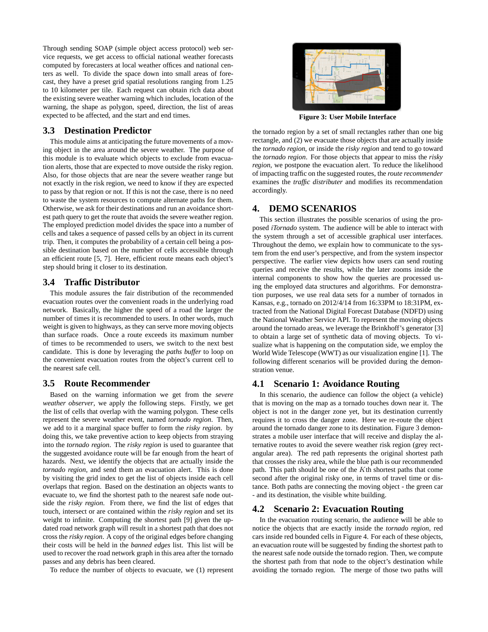Through sending SOAP (simple object access protocol) web service requests, we get access to official national weather forecasts computed by forecasters at local weather offices and national centers as well. To divide the space down into small areas of forecast, they have a preset grid spatial resolutions ranging from 1.25 to 10 kilometer per tile. Each request can obtain rich data about the existing severe weather warning which includes, location of the warning, the shape as polygon, speed, direction, the list of areas expected to be affected, and the start and end times.

#### **3.3 Destination Predictor**

This module aims at anticipating the future movements of a moving object in the area around the severe weather. The purpose of this module is to evaluate which objects to exclude from evacuation alerts, those that are expected to move outside the risky region. Also, for those objects that are near the severe weather range but not exactly in the risk region, we need to know if they are expected to pass by that region or not. If this is not the case, there is no need to waste the system resources to compute alternate paths for them. Otherwise, we ask for their destinations and run an avoidance shortest path query to get the route that avoids the severe weather region. The employed prediction model divides the space into a number of cells and takes a sequence of passed cells by an object in its current trip. Then, it computes the probability of a certain cell being a possible destination based on the number of cells accessible through an efficient route [5, 7]. Here, efficient route means each object's step should bring it closer to its destination.

#### **3.4 Traffic Distributor**

This module assures the fair distribution of the recommended evacuation routes over the convenient roads in the underlying road network. Basically, the higher the speed of a road the larger the number of times it is recommended to users. In other words, much weight is given to highways, as they can serve more moving objects than surface roads. Once a route exceeds its maximum number of times to be recommended to users, we switch to the next best candidate. This is done by leveraging the *paths buffer* to loop on the convenient evacuation routes from the object's current cell to the nearest safe cell.

### **3.5 Route Recommender**

Based on the warning information we get from the *severe weather observer*, we apply the following steps. Firstly, we get the list of cells that overlap with the warning polygon. These cells represent the severe weather event, named *tornado region*. Then, we add to it a marginal space buffer to form the *risky region*. by doing this, we take preventive action to keep objects from straying into the *tornado region*. The *risky region* is used to guarantee that the suggested avoidance route will be far enough from the heart of hazards. Next, we identify the objects that are actually inside the *tornado region*, and send them an evacuation alert. This is done by visiting the grid index to get the list of objects inside each cell overlaps that region. Based on the destination an objects wants to evacuate to, we find the shortest path to the nearest safe node outside the *risky region*. From there, we find the list of edges that touch, intersect or are contained within the *risky region* and set its weight to infinite. Computing the shortest path [9] given the updated road network graph will result in a shortest path that does not cross the *risky region*. A copy of the original edges before changing their costs will be held in the *banned edges* list. This list will be used to recover the road network graph in this area after the tornado passes and any debris has been cleared.

To reduce the number of objects to evacuate, we (1) represent



**Figure 3: User Mobile Interface**

the tornado region by a set of small rectangles rather than one big rectangle, and (2) we evacuate those objects that are actually inside the *tornado region*, or inside the *risky region* and tend to go toward the *tornado region*. For those objects that appear to miss the *risky region*, we postpone the evacuation alert. To reduce the likelihood of impacting traffic on the suggested routes, the *route recommender* examines the *traffic distributer* and modifies its recommendation accordingly.

#### **4. DEMO SCENARIOS**

This section illustrates the possible scenarios of using the proposed *iTornado* system. The audience will be able to interact with the system through a set of accessible graphical user interfaces. Throughout the demo, we explain how to communicate to the system from the end user's perspective, and from the system inspector perspective. The earlier view depicts how users can send routing queries and receive the results, while the later zooms inside the internal components to show how the queries are processed using the employed data structures and algorithms. For demonstration purposes, we use real data sets for a number of tornados in Kansas, e.g., tornado on 2012/4/14 from 16:33PM to 18:31PM, extracted from the National Digital Forecast Database (NDFD) using the National Weather Service API. To represent the moving objects around the tornado areas, we leverage the Brinkhoff's generator [3] to obtain a large set of synthetic data of moving objects. To visualize what is happening on the computation side, we employ the World Wide Telescope (WWT) as our visualization engine [1]. The following different scenarios will be provided during the demonstration venue.

#### **4.1 Scenario 1: Avoidance Routing**

In this scenario, the audience can follow the object (a vehicle) that is moving on the map as a tornado touches down near it. The object is not in the danger zone yet, but its destination currently requires it to cross the danger zone. Here we re-route the object around the tornado danger zone to its destination. Figure 3 demonstrates a mobile user interface that will receive and display the alternative routes to avoid the severe weather risk region (grey rectangular area). The red path represents the original shortest path that crosses the risky area, while the blue path is our recommended path. This path should be one of the Kth shortest paths that come second after the original risky one, in terms of travel time or distance. Both paths are connecting the moving object - the green car - and its destination, the visible white building.

### **4.2 Scenario 2: Evacuation Routing**

In the evacuation routing scenario, the audience will be able to notice the objects that are exactly inside the *tornado region*, red cars inside red bounded cells in Figure 4. For each of these objects, an evacuation route will be suggested by finding the shortest path to the nearest safe node outside the tornado region. Then, we compute the shortest path from that node to the object's destination while avoiding the tornado region. The merge of those two paths will